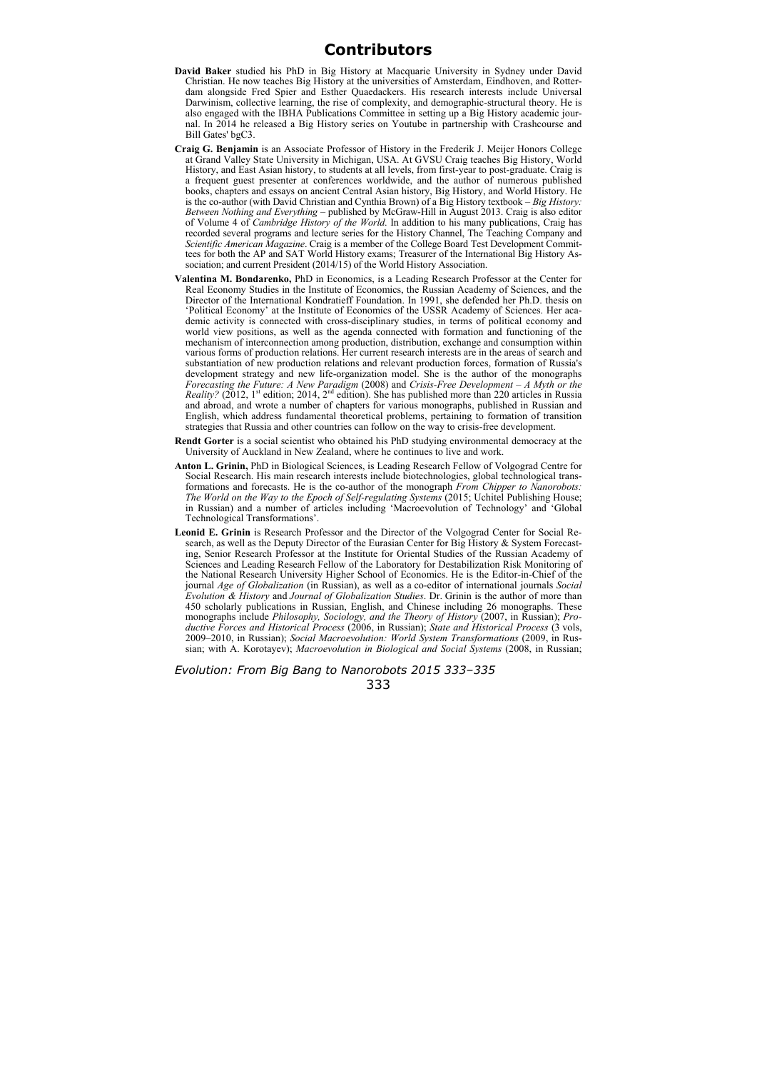## **Contributors**

- **David Baker** studied his PhD in Big History at Macquarie University in Sydney under David Christian. He now teaches Big History at the universities of Amsterdam, Eindhoven, and Rotterdam alongside Fred Spier and Esther Quaedackers. His research interests include Universal Darwinism, collective learning, the rise of complexity, and demographic-structural theory. He is also engaged with the IBHA Publications Committee in setting up a Big History academic journal. In 2014 he released a Big History series on Youtube in partnership with Crashcourse and Bill Gates' bgC3
- **Craig G. Benjamin** is an Associate Professor of History in the Frederik J. Meijer Honors College at Grand Valley State University in Michigan, USA. At GVSU Craig teaches Big History, World History, and East Asian history, to students at all levels, from first-year to post-graduate. Craig is a frequent guest presenter at conferences worldwide, and the author of numerous published books, chapters and essays on ancient Central Asian history, Big History, and World History. He is the co-author (with David Christian and Cynthia Brown) of a Big History textbook – *Big History: Between Nothing and Everything* – published by McGraw-Hill in August 2013. Craig is also editor of Volume 4 of *Cambridge History of the World*. In addition to his many publications, Craig has recorded several programs and lecture series for the History Channel, The Teaching Company and *Scientific American Magazine*. Craig is a member of the College Board Test Development Committees for both the AP and SAT World History exams; Treasurer of the International Big History Association; and current President (2014/15) of the World History Association.
- **Valentina M. Bondarenko,** PhD in Economics, is a Leading Research Professor at the Center for Real Economy Studies in the Institute of Economics, the Russian Academy of Sciences, and the Director of the International Kondratieff Foundation. In 1991, she defended her Ph.D. thesis on 'Political Economy' at the Institute of Economics of the USSR Academy of Sciences. Her academic activity is connected with cross-disciplinary studies, in terms of political economy and world view positions, as well as the agenda connected with formation and functioning of the mechanism of interconnection among production, distribution, exchange and consumption within various forms of production relations. Her current research interests are in the areas of search and substantiation of new production relations and relevant production forces, formation of Russia's development strategy and new life-organization model. She is the author of the monographs *Forecasting the Future: A New Paradigm* (2008) and *Crisis-Free Development – A Myth or the Reality?* (2012, 1<sup>st</sup> edition; 2014, 2<sup>nd</sup> edition). She has published more than 220 articles in Russia and abroad, and wrote a number of chapters for various monographs, published in Russian and English, which address fundamental theoretical problems, pertaining to formation of transition strategies that Russia and other countries can follow on the way to crisis-free development.
- **Rendt Gorter** is a social scientist who obtained his PhD studying environmental democracy at the University of Auckland in New Zealand, where he continues to live and work.
- **Anton L. Grinin,** PhD in Biological Sciences, is Leading Research Fellow of Volgograd Centre for Social Research. His main research interests include biotechnologies, global technological transformations and forecasts. He is the co-author of the monograph *From Chipper to Nanorobots: The World on the Way to the Epoch of Self-regulating Systems* (2015; Uchitel Publishing House; in Russian) and a number of articles including 'Macroevolution of Technology' and 'Global Technological Transformations'.
- **Leonid E. Grinin** is Research Professor and the Director of the Volgograd Center for Social Research, as well as the Deputy Director of the Eurasian Center for Big History & System Forecasting, Senior Research Professor at the Institute for Oriental Studies of the Russian Academy of Sciences and Leading Research Fellow of the Laboratory for Destabilization Risk Monitoring of the National Research University Higher School of Economics. He is the Editor-in-Chief of the journal *Age of Globalization* (in Russian), as well as a co-editor of international journals *Social Evolution & History* and *Journal of Globalization Studies*. Dr. Grinin is the author of more than 450 scholarly publications in Russian, English, and Chinese including 26 monographs. These monographs include *Philosophy, Sociology, and the Theory of History* (2007, in Russian); *Productive Forces and Historical Process* (2006, in Russian); *State and Historical Process* (3 vols, 2009–2010, in Russian); *Social Macroevolution: World System Transformations* (2009, in Russian; with A. Korotayev); *Macroevolution in Biological and Social Systems* (2008, in Russian;

*Evolution: From Big Bang to Nanorobots 2015 333–335*  333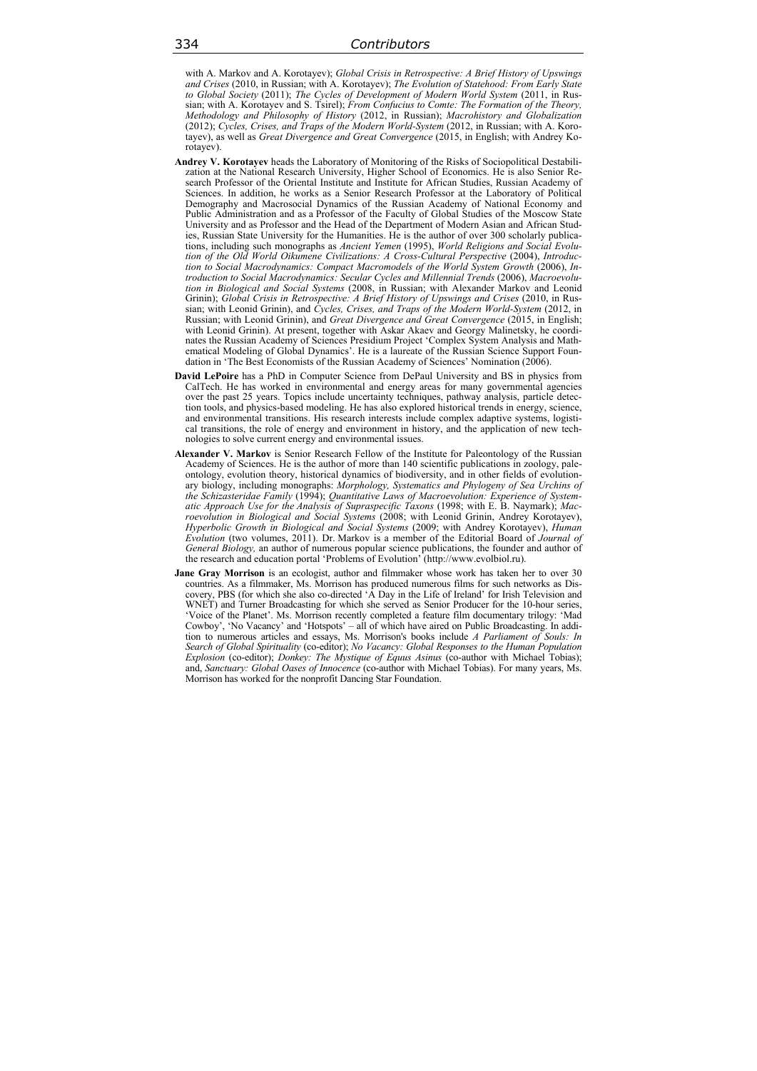with A. Markov and A. Korotayev); *Global Crisis in Retrospective: A Brief History of Upswings and Crises* (2010, in Russian; with A. Korotayev); *The Evolution of Statehood: From Early State to Global Society* (2011); *The Cycles of Development of Modern World System* (2011, in Russian; with A. Korotayev and S. Tsirel); *From Confucius to Comte: The Formation of the Theory, Methodology and Philosophy of History* (2012, in Russian); *Macrohistory and Globalization* (2012); *Cycles, Crises, and Traps of the Modern World-System* (2012, in Russian; with A. Korotayev), as well as *Great Divergence and Great Convergence* (2015, in English; with Andrey Korotayev).

- **Andrey V. Korotayev** heads the Laboratory of Monitoring of the Risks of Sociopolitical Destabilization at the National Research University, Higher School of Economics. He is also Senior Research Professor of the Oriental Institute and Institute for African Studies, Russian Academy of Sciences. In addition, he works as a Senior Research Professor at the Laboratory of Political Demography and Macrosocial Dynamics of the Russian Academy of National Economy and Public Administration and as a Professor of the Faculty of Global Studies of the Moscow State University and as Professor and the Head of the Department of Modern Asian and African Studies, Russian State University for the Humanities. He is the author of over 300 scholarly publications, including such monographs as *Ancient Yemen* (1995), *World Religions and Social Evolu*tion of the Old World Oikumene Civilizations: A Cross-Cultural Perspective (2004), Introduc*tion to Social Macrodynamics: Compact Macromodels of the World System Growth* (2006), *Introduction to Social Macrodynamics: Secular Cycles and Millennial Trends* (2006), *Macroevolution in Biological and Social Systems* (2008, in Russian; with Alexander Markov and Leonid Grinin); *Global Crisis in Retrospective: A Brief History of Upswings and Crises* (2010, in Russian; with Leonid Grinin), and *Cycles, Crises, and Traps of the Modern World-System* (2012, in Russian; with Leonid Grinin), and *Great Divergence and Great Convergence* (2015, in English; with Leonid Grinin). At present, together with Askar Akaev and Georgy Malinetsky, he coordinates the Russian Academy of Sciences Presidium Project 'Complex System Analysis and Mathematical Modeling of Global Dynamics'. He is a laureate of the Russian Science Support Foundation in 'The Best Economists of the Russian Academy of Sciences' Nomination (2006).
- **David LePoire** has a PhD in Computer Science from DePaul University and BS in physics from CalTech. He has worked in environmental and energy areas for many governmental agencies over the past 25 years. Topics include uncertainty techniques, pathway analysis, particle detection tools, and physics-based modeling. He has also explored historical trends in energy, science, and environmental transitions. His research interests include complex adaptive systems, logistical transitions, the role of energy and environment in history, and the application of new technologies to solve current energy and environmental issues.
- **Alexander V. Markov** is Senior Research Fellow of the Institute for Paleontology of the Russian Academy of Sciences. He is the author of more than 140 scientific publications in zoology, paleontology, evolution theory, historical dynamics of biodiversity, and in other fields of evolutionary biology, including monographs: *Morphology, Systematics and Phylogeny of Sea Urchins of the Schizasteridae Family* (1994); *Quantitative Laws of Macroevolution: Experience of Systematic Approach Use for the Analysis of Supraspecific Taxons* (1998; with E. B. Naymark); *Macroevolution in Biological and Social Systems* (2008; with Leonid Grinin, Andrey Korotayev), *Hyperbolic Growth in Biological and Social Systems* (2009; with Andrey Korotayev), *Human Evolution* (two volumes, 2011). Dr. Markov is a member of the Editorial Board of *Journal of General Biology,* an author of numerous popular science publications, the founder and author of the research and education portal 'Problems of Evolution' (http://www.evolbiol.ru).
- **Jane Gray Morrison** is an ecologist, author and filmmaker whose work has taken her to over 30 countries. As a filmmaker, Ms. Morrison has produced numerous films for such networks as Discovery, PBS (for which she also co-directed 'A Day in the Life of Ireland' for Irish Television and WNET) and Turner Broadcasting for which she served as Senior Producer for the 10-hour series, 'Voice of the Planet'. Ms. Morrison recently completed a feature film documentary trilogy: 'Mad Cowboy', 'No Vacancy' and 'Hotspots' – all of which have aired on Public Broadcasting. In addition to numerous articles and essays, Ms. Morrison's books include *A Parliament of Souls: In Search of Global Spirituality* (co-editor); *No Vacancy: Global Responses to the Human Population Explosion* (co-editor); *Donkey: The Mystique of Equus Asinus* (co-author with Michael Tobias); and, *Sanctuary: Global Oases of Innocence* (co-author with Michael Tobias). For many years, Ms. Morrison has worked for the nonprofit Dancing Star Foundation.